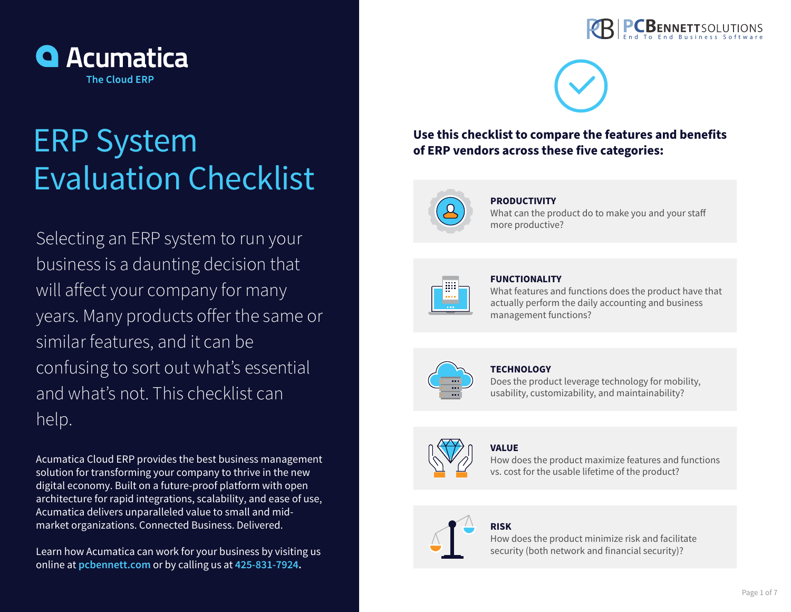

# ERP System Evaluation Checklist

Selecting an ERP system to run your business is a daunting decision that will affect your company for many years. Many products offer the same or similar features, and it can be confusing to sort out what's essential and what's not. This checklist can help.

Acumatica Cloud ERP provides the best business management solution for transforming your company to thrive in the new digital economy. Built on a future-proof platform with open architecture for rapid integrations, scalability, and ease of use, Acumatica delivers unparalleled value to small and midmarket organizations. Connected Business. Delivered.

Learn how Acumatica can work for your business by visiting us online at **pcbennett.com** or by calling us at **425-831-7924.**





# **Use this checklist to compare the features and benefits of ERP vendors across these five categories:**



## **PRODUCTIVITY**

What can the product do to make you and your staff more productive?



#### **FUNCTIONALITY**

What features and functions does the product have that actually perform the daily accounting and business management functions?



#### **TECHNOLOGY**

Does the product leverage technology for mobility, usability, customizability, and maintainability?

# **VALUE**

How does the product maximize features and functions vs. cost for the usable lifetime of the product?

## **RISK**

How does the product minimize risk and facilitate security (both network and financial security)?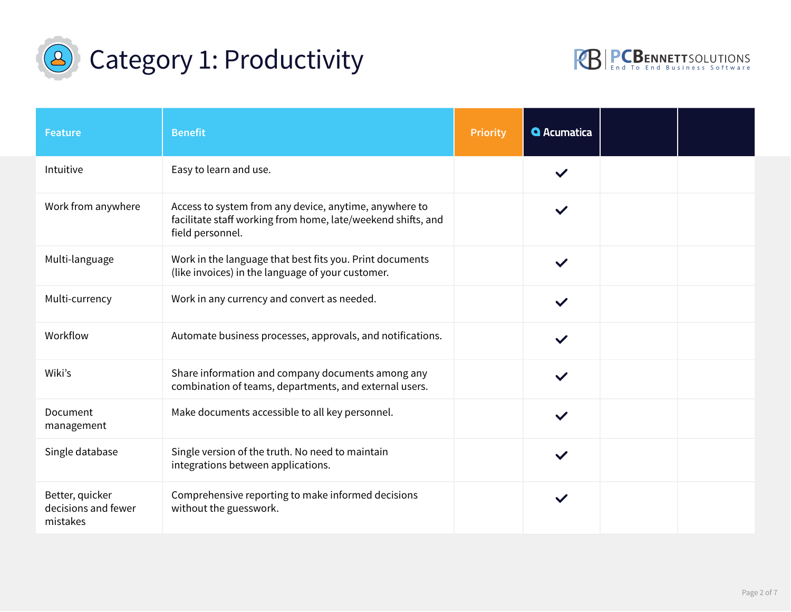



| <b>Feature</b>                                     | <b>Benefit</b>                                                                                                                             | <b>Priority</b>                   | <b>Q</b> Acumatica |  |
|----------------------------------------------------|--------------------------------------------------------------------------------------------------------------------------------------------|-----------------------------------|--------------------|--|
| Intuitive                                          | Easy to learn and use.                                                                                                                     | $\blacktriangledown$              |                    |  |
| Work from anywhere                                 | Access to system from any device, anytime, anywhere to<br>facilitate staff working from home, late/weekend shifts, and<br>field personnel. | $\vert \cdot \vert$               |                    |  |
| Multi-language                                     | Work in the language that best fits you. Print documents<br>(like invoices) in the language of your customer.                              | $\vert \cdot \vert$               | $\checkmark$       |  |
| Multi-currency                                     | Work in any currency and convert as needed.                                                                                                | $\boxed{\phantom{1}}$             | $\checkmark$       |  |
| Workflow                                           | Automate business processes, approvals, and notifications.                                                                                 | $\overline{\phantom{0}}$          | $\checkmark$       |  |
| Wiki's                                             | Share information and company documents among any<br>combination of teams, departments, and external users.                                | $\left  \rule{0pt}{10pt} \right.$ |                    |  |
| Document<br>management                             | Make documents accessible to all key personnel.                                                                                            | $\left  \mathbf{v} \right $       | $\checkmark$       |  |
| Single database                                    | Single version of the truth. No need to maintain<br>integrations between applications.                                                     | $\left  \mathbf{v} \right $       |                    |  |
| Better, quicker<br>decisions and fewer<br>mistakes | Comprehensive reporting to make informed decisions<br>without the guesswork.                                                               | $\vert \cdot \vert$               | $\checkmark$       |  |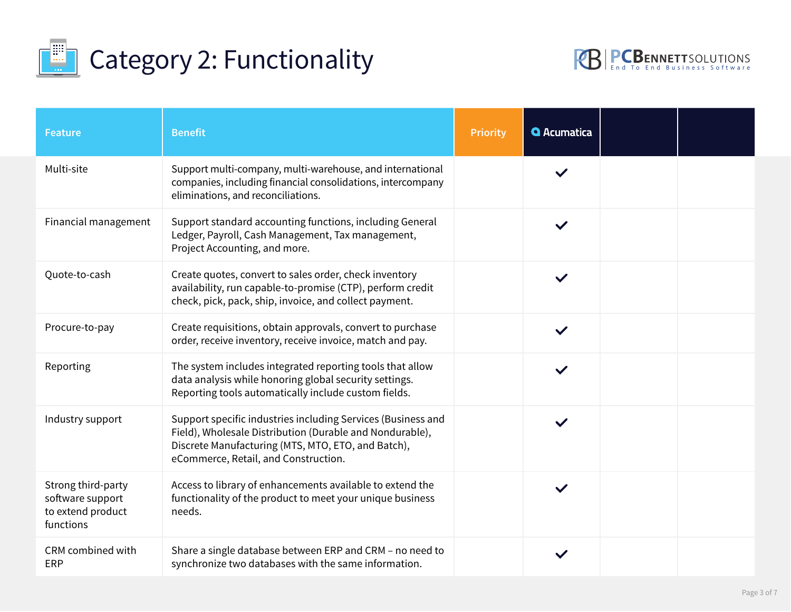



| <b>Feature</b>                                                           | <b>Benefit</b>                                                                                                                                                                                                         | <b>Priority</b>                   | <b>Q</b> Acumatica |  |
|--------------------------------------------------------------------------|------------------------------------------------------------------------------------------------------------------------------------------------------------------------------------------------------------------------|-----------------------------------|--------------------|--|
| Multi-site                                                               | Support multi-company, multi-warehouse, and international<br>companies, including financial consolidations, intercompany<br>eliminations, and reconciliations.                                                         | $\left  \mathbf{v} \right $       | $\checkmark$       |  |
| Financial management                                                     | Support standard accounting functions, including General<br>Ledger, Payroll, Cash Management, Tax management,<br>Project Accounting, and more.                                                                         | $\vert \textbf{I} \vert$          | $\checkmark$       |  |
| Quote-to-cash                                                            | Create quotes, convert to sales order, check inventory<br>availability, run capable-to-promise (CTP), perform credit<br>check, pick, pack, ship, invoice, and collect payment.                                         | $\boxed{\phantom{1}}$             | $\checkmark$       |  |
| Procure-to-pay                                                           | Create requisitions, obtain approvals, convert to purchase<br>order, receive inventory, receive invoice, match and pay.                                                                                                | $\left  \rule{0pt}{10pt} \right.$ | $\checkmark$       |  |
| Reporting                                                                | The system includes integrated reporting tools that allow<br>data analysis while honoring global security settings.<br>Reporting tools automatically include custom fields.                                            | $\vert \cdot \vert$               | $\checkmark$       |  |
| Industry support                                                         | Support specific industries including Services (Business and<br>Field), Wholesale Distribution (Durable and Nondurable),<br>Discrete Manufacturing (MTS, MTO, ETO, and Batch),<br>eCommerce, Retail, and Construction. | $\vert \vert$                     | $\checkmark$       |  |
| Strong third-party<br>software support<br>to extend product<br>functions | Access to library of enhancements available to extend the<br>functionality of the product to meet your unique business<br>needs.                                                                                       | $\vert \cdot \vert$               | $\checkmark$       |  |
| CRM combined with<br><b>ERP</b>                                          | Share a single database between ERP and CRM - no need to<br>synchronize two databases with the same information.                                                                                                       | $\vert \textbf{v} \vert$          |                    |  |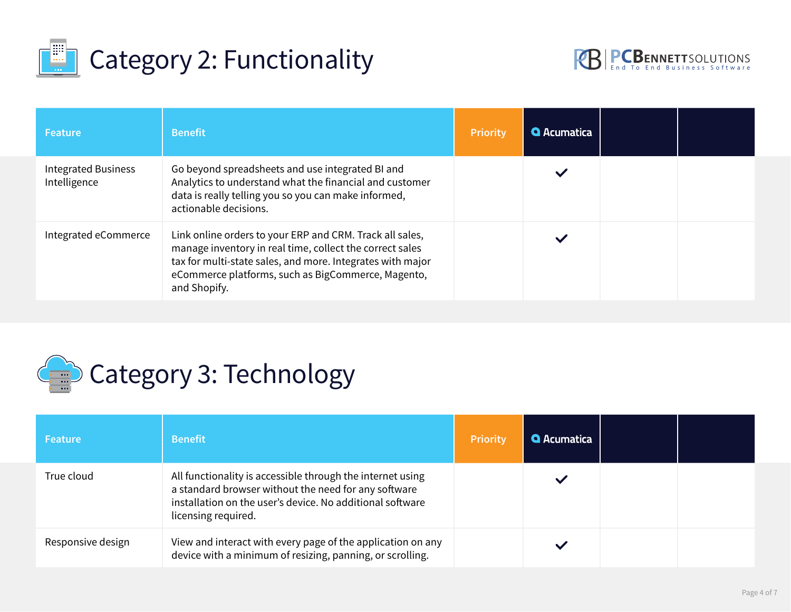



| <b>Feature</b>                             | <b>Benefit</b>                                                                                                                                                                                                                                           | <b>Priority</b> | <b>Q</b> Acumatica |  |
|--------------------------------------------|----------------------------------------------------------------------------------------------------------------------------------------------------------------------------------------------------------------------------------------------------------|-----------------|--------------------|--|
| <b>Integrated Business</b><br>Intelligence | Go beyond spreadsheets and use integrated BI and<br>Analytics to understand what the financial and customer<br>data is really telling you so you can make informed,<br>actionable decisions.                                                             |                 | $\checkmark$       |  |
| Integrated eCommerce                       | Link online orders to your ERP and CRM. Track all sales,<br>manage inventory in real time, collect the correct sales<br>tax for multi-state sales, and more. Integrates with major<br>eCommerce platforms, such as BigCommerce, Magento,<br>and Shopify. |                 | $\checkmark$       |  |



| Feature           | <b>Benefit</b>                                                                                                                                                                                         | <b>Priority</b>      | <b>Q</b> Acumatica |  |
|-------------------|--------------------------------------------------------------------------------------------------------------------------------------------------------------------------------------------------------|----------------------|--------------------|--|
| True cloud        | All functionality is accessible through the internet using<br>a standard browser without the need for any software<br>installation on the user's device. No additional software<br>licensing required. |                      |                    |  |
| Responsive design | View and interact with every page of the application on any<br>device with a minimum of resizing, panning, or scrolling.                                                                               | $\blacktriangledown$ |                    |  |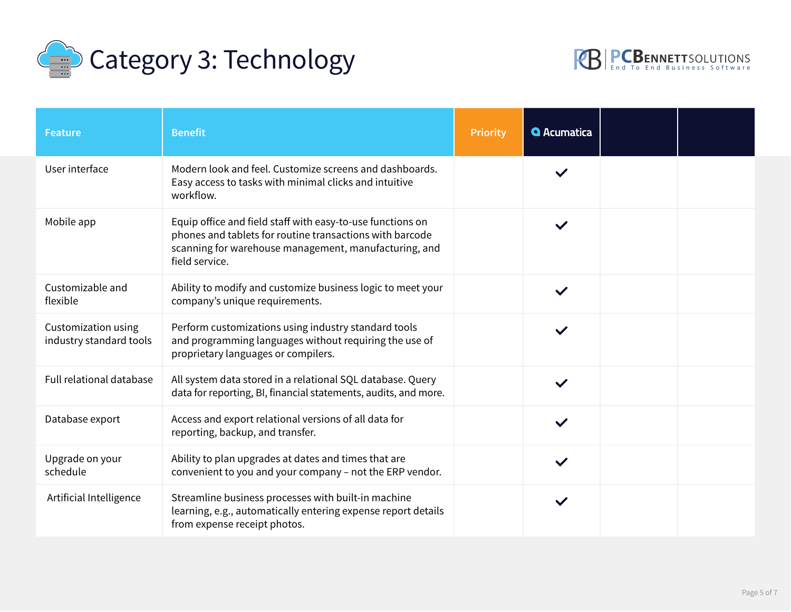



| <b>Feature</b>                                 | <b>Benefit</b>                                                                                                                                                                                    | <b>Priority</b>             | <b>Q</b> Acumatica |  |
|------------------------------------------------|---------------------------------------------------------------------------------------------------------------------------------------------------------------------------------------------------|-----------------------------|--------------------|--|
| User interface                                 | Modern look and feel. Customize screens and dashboards.<br>Easy access to tasks with minimal clicks and intuitive<br>workflow.                                                                    |                             |                    |  |
| Mobile app                                     | Equip office and field staff with easy-to-use functions on<br>phones and tablets for routine transactions with barcode<br>scanning for warehouse management, manufacturing, and<br>field service. | $\vert \textbf{v} \vert$    | $\checkmark$       |  |
| Customizable and<br>flexible                   | Ability to modify and customize business logic to meet your<br>company's unique requirements.                                                                                                     | $\left  \cdot \right $      |                    |  |
| Customization using<br>industry standard tools | Perform customizations using industry standard tools<br>and programming languages without requiring the use of<br>proprietary languages or compilers.                                             | $\vert \mathbf{v} \vert$    |                    |  |
| Full relational database                       | All system data stored in a relational SQL database. Query<br>data for reporting, BI, financial statements, audits, and more.                                                                     | $\left  \mathbf{v} \right $ |                    |  |
| Database export                                | Access and export relational versions of all data for<br>reporting, backup, and transfer.                                                                                                         | $\left  \cdot \right $      | $\checkmark$       |  |
| Upgrade on your<br>schedule                    | Ability to plan upgrades at dates and times that are<br>convenient to you and your company - not the ERP vendor.                                                                                  | $\left  \cdot \right $      |                    |  |
| Artificial Intelligence                        | Streamline business processes with built-in machine<br>learning, e.g., automatically entering expense report details<br>from expense receipt photos.                                              | $\vert \vert$               | $\checkmark$       |  |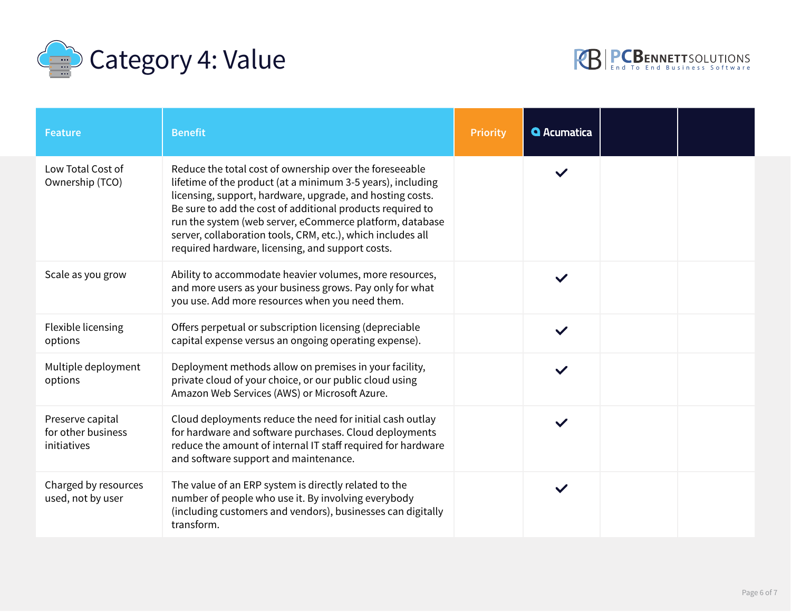



| <b>Feature</b>                                        | <b>Benefit</b>                                                                                                                                                                                                                                                                                                                                                                                                                   | <b>Priority</b>                   | <b>Q</b> Acumatica |  |
|-------------------------------------------------------|----------------------------------------------------------------------------------------------------------------------------------------------------------------------------------------------------------------------------------------------------------------------------------------------------------------------------------------------------------------------------------------------------------------------------------|-----------------------------------|--------------------|--|
| Low Total Cost of<br>Ownership (TCO)                  | Reduce the total cost of ownership over the foreseeable<br>lifetime of the product (at a minimum 3-5 years), including<br>licensing, support, hardware, upgrade, and hosting costs.<br>Be sure to add the cost of additional products required to<br>run the system (web server, eCommerce platform, database<br>server, collaboration tools, CRM, etc.), which includes all<br>required hardware, licensing, and support costs. |                                   |                    |  |
| Scale as you grow                                     | Ability to accommodate heavier volumes, more resources,<br>and more users as your business grows. Pay only for what<br>you use. Add more resources when you need them.                                                                                                                                                                                                                                                           | $\vert \mathbf{v} \vert$          |                    |  |
| Flexible licensing<br>options                         | Offers perpetual or subscription licensing (depreciable<br>capital expense versus an ongoing operating expense).                                                                                                                                                                                                                                                                                                                 | $\left  \mathbf{v} \right $       | $\checkmark$       |  |
| Multiple deployment<br>options                        | Deployment methods allow on premises in your facility,<br>private cloud of your choice, or our public cloud using<br>Amazon Web Services (AWS) or Microsoft Azure.                                                                                                                                                                                                                                                               | $\left  \rule{0pt}{10pt} \right.$ |                    |  |
| Preserve capital<br>for other business<br>initiatives | Cloud deployments reduce the need for initial cash outlay<br>for hardware and software purchases. Cloud deployments<br>reduce the amount of internal IT staff required for hardware<br>and software support and maintenance.                                                                                                                                                                                                     | $\left  \rule{0pt}{10pt} \right.$ |                    |  |
| Charged by resources<br>used, not by user             | The value of an ERP system is directly related to the<br>number of people who use it. By involving everybody<br>(including customers and vendors), businesses can digitally<br>transform.                                                                                                                                                                                                                                        | $\vert \mathbf{v} \vert$          |                    |  |